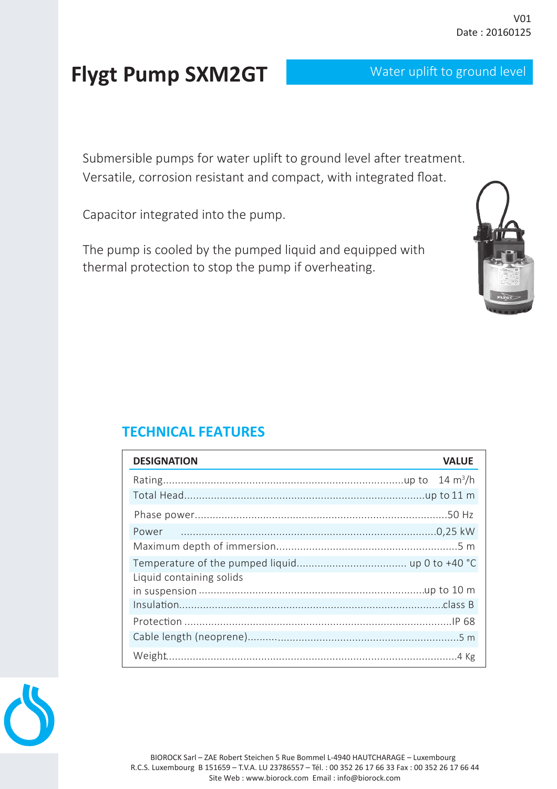#### $V<sub>01</sub>$ Date: 20160125

Water uplift to ground level

# **Flygt Pump SXM2GT**

Submersible pumps for water uplift to ground level after treatment. Versatile, corrosion resistant and compact, with integrated float.

Capacitor integrated into the pump.

The pump is cooled by the pumped liquid and equipped with thermal protection to stop the pump if overheating.



### **TECHNICAL FEATURES**

| <b>DESIGNATION</b>       | <b>VALUE</b> |
|--------------------------|--------------|
|                          |              |
|                          |              |
|                          |              |
|                          |              |
|                          |              |
| Liquid containing solids |              |
|                          |              |
|                          |              |
|                          |              |
|                          |              |
|                          |              |